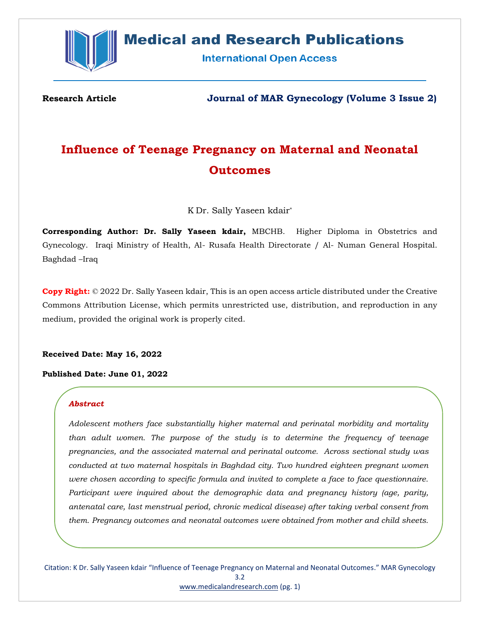

# **Medical and Research Publications**

**International Open Access** 

**Research Article Journal of MAR Gynecology (Volume 3 Issue 2)**

# **Influence of Teenage Pregnancy on Maternal and Neonatal Outcomes**

K Dr. Sally Yaseen kdair\*

**Corresponding Author: Dr. Sally Yaseen kdair,** MBCHB. Higher Diploma in Obstetrics and Gynecology. Iraqi Ministry of Health, Al- Rusafa Health Directorate / Al- Numan General Hospital. Baghdad –Iraq

**Copy Right:** © 2022 Dr. Sally Yaseen kdair, This is an open access article distributed under the Creative Commons Attribution License, which permits unrestricted use, distribution, and reproduction in any medium, provided the original work is properly cited.

**Received Date: May 16, 2022**

**Published Date: June 01, 2022**

#### *Abstract*

*Adolescent mothers face substantially higher maternal and perinatal morbidity and mortality than adult women. The purpose of the study is to determine the frequency of teenage pregnancies, and the associated maternal and perinatal outcome. Across sectional study was conducted at two maternal hospitals in Baghdad city. Two hundred eighteen pregnant women were chosen according to specific formula and invited to complete a face to face questionnaire. Participant were inquired about the demographic data and pregnancy history (age, parity, antenatal care, last menstrual period, chronic medical disease) after taking verbal consent from them. Pregnancy outcomes and neonatal outcomes were obtained from mother and child sheets.*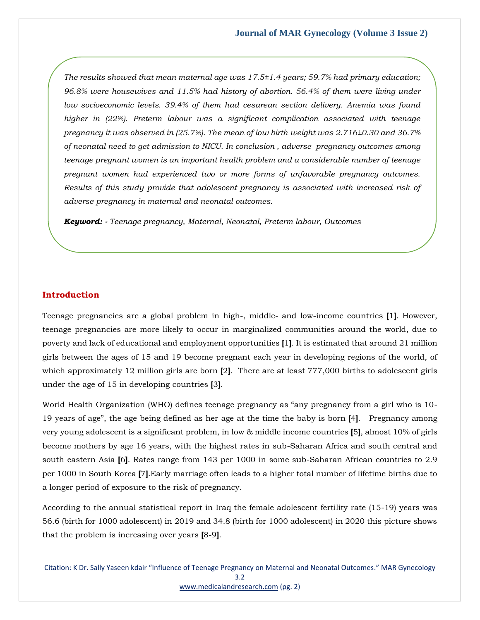*The results showed that mean maternal age was 17.5±1.4 years; 59.7% had primary education; 96.8% were housewives and 11.5% had history of abortion. 56.4% of them were living under low socioeconomic levels. 39.4% of them had cesarean section delivery. Anemia was found higher in (22%). Preterm labour was a significant complication associated with teenage pregnancy it was observed in (25.7%). The mean of low birth weight was 2.716±0.30 and 36.7% of neonatal need to get admission to NICU. In conclusion , adverse pregnancy outcomes among teenage pregnant women is an important health problem and a considerable number of teenage pregnant women had experienced two or more forms of unfavorable pregnancy outcomes. Results of this study provide that adolescent pregnancy is associated with increased risk of adverse pregnancy in maternal and neonatal outcomes.* 

*Keyword: - Teenage pregnancy, Maternal, Neonatal, Preterm labour, Outcomes*

#### **Introduction**

Teenage pregnancies are a global problem in high-, middle- and low-income countries **[**1**]**. However, teenage pregnancies are more likely to occur in marginalized communities around the world, due to poverty and lack of educational and employment opportunities **[**1**]**. It is estimated that around 21 million girls between the ages of 15 and 19 become pregnant each year in developing regions of the world, of which approximately 12 million girls are born **[**2**]**. There are at least 777,000 births to adolescent girls under the age of 15 in developing countries **[**3**]**.

World Health Organization (WHO) defines teenage pregnancy as "any pregnancy from a girl who is 10- 19 years of age", the age being defined as her age at the time the baby is born **[**4**]**. Pregnancy among very young adolescent is a significant problem, in low & middle income countries **[**5**]**, almost 10% of girls become mothers by age 16 years, with the highest rates in sub-Saharan Africa and south central and south eastern Asia **[**6**]**. Rates range from 143 per 1000 in some sub-Saharan African countries to 2.9 per 1000 in South Korea **[**7**]**.Early marriage often leads to a higher total number of lifetime births due to a longer period of exposure to the risk of pregnancy.

According to the annual statistical report in Iraq the female adolescent fertility rate (15-19) years was 56.6 (birth for 1000 adolescent) in 2019 and 34.8 (birth for 1000 adolescent) in 2020 this picture shows that the problem is increasing over years **[**8-9**]**.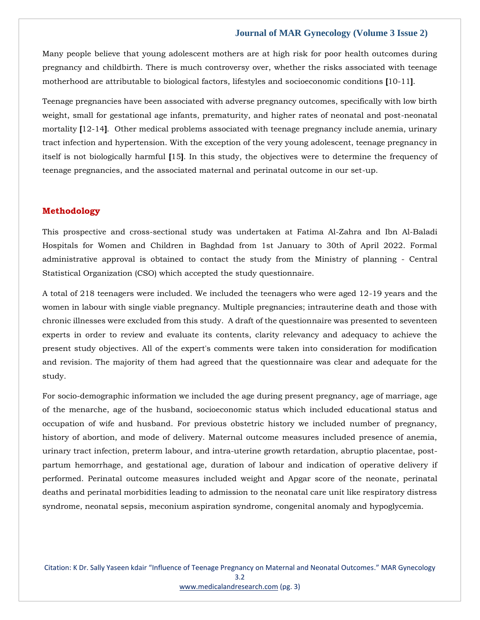Many people believe that young adolescent mothers are at high risk for poor health outcomes during pregnancy and childbirth. There is much controversy over, whether the risks associated with teenage motherhood are attributable to biological factors, lifestyles and socioeconomic conditions **[**10-11**]**.

Teenage pregnancies have been associated with adverse pregnancy outcomes, specifically with low birth weight, small for gestational age infants, prematurity, and higher rates of neonatal and post-neonatal mortality **[**12-14**]**. Other medical problems associated with teenage pregnancy include anemia, urinary tract infection and hypertension. With the exception of the very young adolescent, teenage pregnancy in itself is not biologically harmful **[**15**]**. In this study, the objectives were to determine the frequency of teenage pregnancies, and the associated maternal and perinatal outcome in our set-up.

### **Methodology**

This prospective and cross-sectional study was undertaken at Fatima Al-Zahra and Ibn Al-Baladi Hospitals for Women and Children in Baghdad from 1st January to 30th of April 2022. Formal administrative approval is obtained to contact the study from the Ministry of planning - Central Statistical Organization (CSO) which accepted the study questionnaire.

A total of 218 teenagers were included. We included the teenagers who were aged 12-19 years and the women in labour with single viable pregnancy. Multiple pregnancies; intrauterine death and those with chronic illnesses were excluded from this study. A draft of the questionnaire was presented to seventeen experts in order to review and evaluate its contents, clarity relevancy and adequacy to achieve the present study objectives. All of the expert's comments were taken into consideration for modification and revision. The majority of them had agreed that the questionnaire was clear and adequate for the study.

For socio-demographic information we included the age during present pregnancy, age of marriage, age of the menarche, age of the husband, socioeconomic status which included educational status and occupation of wife and husband. For previous obstetric history we included number of pregnancy, history of abortion, and mode of delivery. Maternal outcome measures included presence of anemia, urinary tract infection, preterm labour, and intra-uterine growth retardation, abruptio placentae, postpartum hemorrhage, and gestational age, duration of labour and indication of operative delivery if performed. Perinatal outcome measures included weight and Apgar score of the neonate, perinatal deaths and perinatal morbidities leading to admission to the neonatal care unit like respiratory distress syndrome, neonatal sepsis, meconium aspiration syndrome, congenital anomaly and hypoglycemia.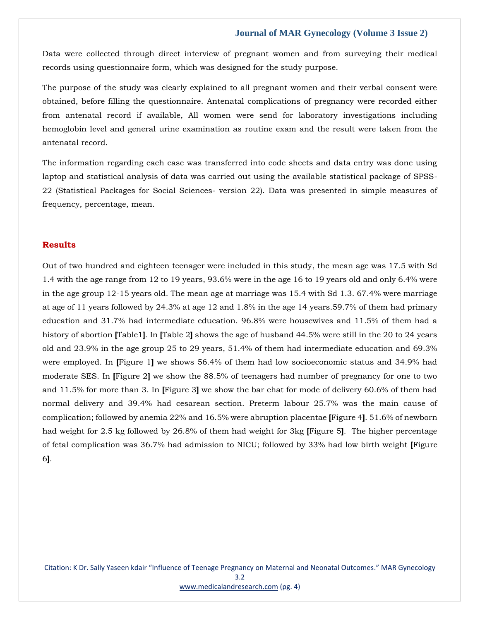Data were collected through direct interview of pregnant women and from surveying their medical records using questionnaire form, which was designed for the study purpose.

The purpose of the study was clearly explained to all pregnant women and their verbal consent were obtained, before filling the questionnaire. Antenatal complications of pregnancy were recorded either from antenatal record if available, All women were send for laboratory investigations including hemoglobin level and general urine examination as routine exam and the result were taken from the antenatal record.

The information regarding each case was transferred into code sheets and data entry was done using laptop and statistical analysis of data was carried out using the available statistical package of SPSS-22 (Statistical Packages for Social Sciences- version 22). Data was presented in simple measures of frequency, percentage, mean.

## **Results**

Out of two hundred and eighteen teenager were included in this study, the mean age was 17.5 with Sd 1.4 with the age range from 12 to 19 years, 93.6% were in the age 16 to 19 years old and only 6.4% were in the age group 12-15 years old. The mean age at marriage was 15.4 with Sd 1.3. 67.4% were marriage at age of 11 years followed by 24.3% at age 12 and 1.8% in the age 14 years.59.7% of them had primary education and 31.7% had intermediate education. 96.8% were housewives and 11.5% of them had a history of abortion **[**Table1**]**. In **[**Table 2**]** shows the age of husband 44.5% were still in the 20 to 24 years old and 23.9% in the age group 25 to 29 years, 51.4% of them had intermediate education and 69.3% were employed. In **[**Figure 1**]** we shows 56.4% of them had low socioeconomic status and 34.9% had moderate SES. In **[**Figure 2**]** we show the 88.5% of teenagers had number of pregnancy for one to two and 11.5% for more than 3. In **[**Figure 3**]** we show the bar chat for mode of delivery 60.6% of them had normal delivery and 39.4% had cesarean section. Preterm labour 25.7% was the main cause of complication; followed by anemia 22% and 16.5% were abruption placentae **[**Figure 4**]**. 51.6% of newborn had weight for 2.5 kg followed by 26.8% of them had weight for 3kg **[**Figure 5**]**. The higher percentage of fetal complication was 36.7% had admission to NICU; followed by 33% had low birth weight **[**Figure 6**]**.

Citation: K Dr. Sally Yaseen kdair "Influence of Teenage Pregnancy on Maternal and Neonatal Outcomes." MAR Gynecology 3.2 [www.medicalandresearch.com](http://www.medicalandresearch.com/) (pg. 4)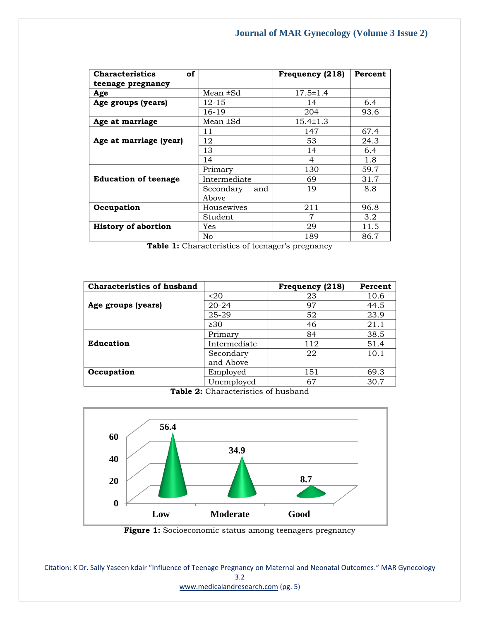| <b>Characteristics</b><br>of |                           | Frequency (218) | Percent          |
|------------------------------|---------------------------|-----------------|------------------|
| teenage pregnancy            |                           |                 |                  |
| Age                          | Mean $\pm$ Sd             | $17.5 \pm 1.4$  |                  |
| Age groups (years)           | 12-15                     | 14              | 6.4              |
|                              | 16-19                     | 204             | 93.6             |
| Age at marriage              | Mean ±Sd                  | $15.4 \pm 1.3$  |                  |
|                              | 11                        | 147             | 67.4             |
| Age at marriage (year)       | 12                        | 53              | 24.3             |
|                              | 13                        | 14              | 6.4              |
|                              | 14                        | 4               | 1.8              |
|                              | Primary                   | 130             | 59.7             |
| <b>Education of teenage</b>  | Intermediate              | 69              | 31.7             |
|                              | Secondary<br>and<br>Above | 19              | 8.8              |
| Occupation                   | Housewives                | 211             | 96.8             |
|                              | Student                   | 7               | 3.2 <sub>2</sub> |
| <b>History of abortion</b>   | Yes                       | 29              | 11.5             |
|                              | No                        | 189             | 86.7             |

Table 1: Characteristics of teenager's pregnancy

| <b>Characteristics of husband</b> |                  | Frequency (218) | Percent |
|-----------------------------------|------------------|-----------------|---------|
|                                   | 20 <sub>20</sub> | 23              | 10.6    |
| Age groups (years)                | $20 - 24$        | 97              | 44.5    |
|                                   | 25-29            | 52              | 23.9    |
|                                   | $\geq 30$        | 46              | 21.1    |
|                                   | Primary          | 84              | 38.5    |
| <b>Education</b>                  | Intermediate     | 112             | 51.4    |
|                                   | Secondary        | 22              | 10.1    |
|                                   | and Above        |                 |         |
| Occupation                        | Employed         | 151             | 69.3    |
|                                   | Unemployed       | 67              | 30.7    |

**Table 2:** Characteristics of husband



Figure 1: Socioeconomic status among teenagers pregnancy

Citation: K Dr. Sally Yaseen kdair "Influence of Teenage Pregnancy on Maternal and Neonatal Outcomes." MAR Gynecology 3.2 [www.medicalandresearch.com](http://www.medicalandresearch.com/) (pg. 5)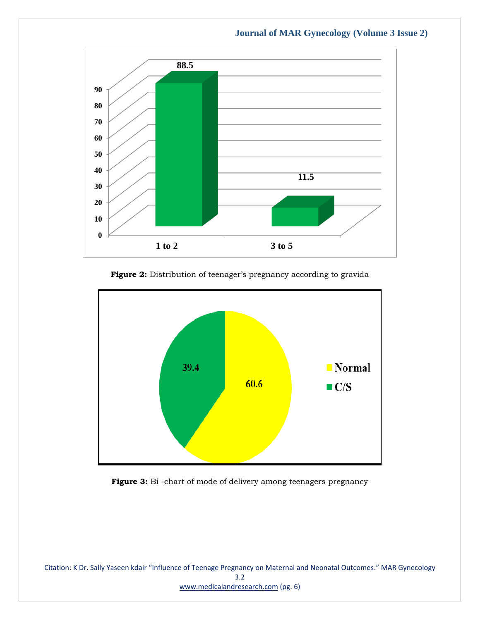

Figure 2: Distribution of teenager's pregnancy according to gravida



Figure 3: Bi -chart of mode of delivery among teenagers pregnancy

Citation: K Dr. Sally Yaseen kdair "Influence of Teenage Pregnancy on Maternal and Neonatal Outcomes." MAR Gynecology 3.2 [www.medicalandresearch.com](http://www.medicalandresearch.com/) (pg. 6)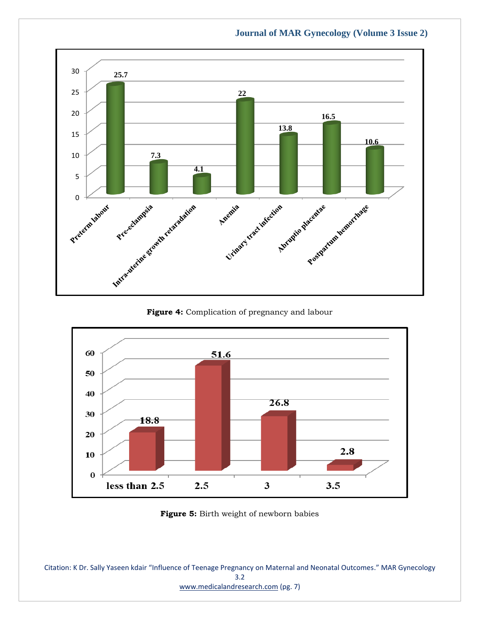

**Figure 4:** Complication of pregnancy and labour



**Figure 5:** Birth weight of newborn babies

Citation: K Dr. Sally Yaseen kdair "Influence of Teenage Pregnancy on Maternal and Neonatal Outcomes." MAR Gynecology 3.2 [www.medicalandresearch.com](http://www.medicalandresearch.com/) (pg. 7)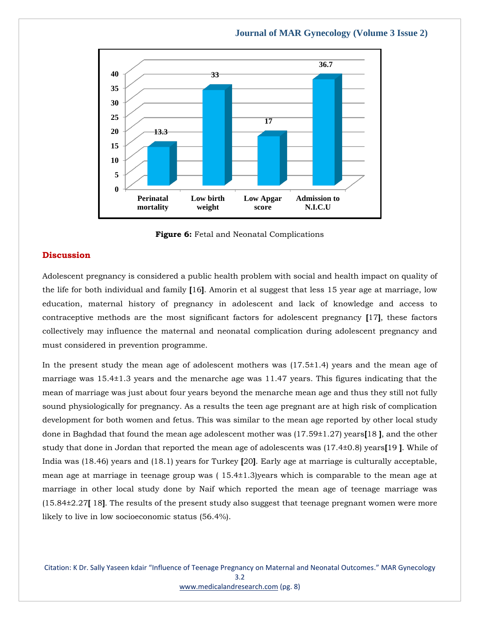

**Figure 6:** Fetal and Neonatal Complications

#### **Discussion**

Adolescent pregnancy is considered a public health problem with social and health impact on quality of the life for both individual and family **[**16**]**. Amorin et al suggest that less 15 year age at marriage, low education, maternal history of pregnancy in adolescent and lack of knowledge and access to contraceptive methods are the most significant factors for adolescent pregnancy **[**17**]**, these factors collectively may influence the maternal and neonatal complication during adolescent pregnancy and must considered in prevention programme.

In the present study the mean age of adolescent mothers was (17.5±1.4) years and the mean age of marriage was 15.4±1.3 years and the menarche age was 11.47 years. This figures indicating that the mean of marriage was just about four years beyond the menarche mean age and thus they still not fully sound physiologically for pregnancy. As a results the teen age pregnant are at high risk of complication development for both women and fetus. This was similar to the mean age reported by other local study done in Baghdad that found the mean age adolescent mother was (17.59±1.27) years**[**18 **]**, and the other study that done in Jordan that reported the mean age of adolescents was (17.4±0.8) years**[**19 **]**. While of India was (18.46) years and (18.1) years for Turkey **[**20**]**. Early age at marriage is culturally acceptable, mean age at marriage in teenage group was ( 15.4±1.3)years which is comparable to the mean age at marriage in other local study done by Naif which reported the mean age of teenage marriage was (15.84±2.27**[** 18**]**. The results of the present study also suggest that teenage pregnant women were more likely to live in low socioeconomic status (56.4%).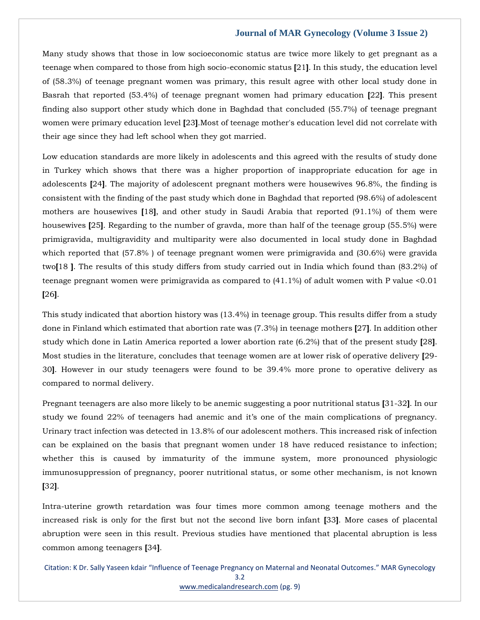Many study shows that those in low socioeconomic status are twice more likely to get pregnant as a teenage when compared to those from high socio-economic status **[**21**]**. In this study, the education level of (58.3%) of teenage pregnant women was primary, this result agree with other local study done in Basrah that reported (53.4%) of teenage pregnant women had primary education **[**22**]**. This present finding also support other study which done in Baghdad that concluded (55.7%) of teenage pregnant women were primary education level **[**23**]**.Most of teenage mother's education level did not correlate with their age since they had left school when they got married.

Low education standards are more likely in adolescents and this agreed with the results of study done in Turkey which shows that there was a higher proportion of inappropriate education for age in adolescents **[**24**]**. The majority of adolescent pregnant mothers were housewives 96.8%, the finding is consistent with the finding of the past study which done in Baghdad that reported (98.6%) of adolescent mothers are housewives **[**18**]**, and other study in Saudi Arabia that reported (91.1%) of them were housewives **[**25**]**. Regarding to the number of gravda, more than half of the teenage group (55.5%) were primigravida, multigravidity and multiparity were also documented in local study done in Baghdad which reported that (57.8% ) of teenage pregnant women were primigravida and (30.6%) were gravida two**[**18 **]**. The results of this study differs from study carried out in India which found than (83.2%) of teenage pregnant women were primigravida as compared to (41.1%) of adult women with P value <0.01 **[**26**]**.

This study indicated that abortion history was (13.4%) in teenage group. This results differ from a study done in Finland which estimated that abortion rate was (7.3%) in teenage mothers **[**27**]**. In addition other study which done in Latin America reported a lower abortion rate (6.2%) that of the present study **[**28**]**. Most studies in the literature, concludes that teenage women are at lower risk of operative delivery **[**29- 30**]**. However in our study teenagers were found to be 39.4% more prone to operative delivery as compared to normal delivery.

Pregnant teenagers are also more likely to be anemic suggesting a poor nutritional status **[**31-32**]**. In our study we found 22% of teenagers had anemic and it's one of the main complications of pregnancy. Urinary tract infection was detected in 13.8% of our adolescent mothers. This increased risk of infection can be explained on the basis that pregnant women under 18 have reduced resistance to infection; whether this is caused by immaturity of the immune system, more pronounced physiologic immunosuppression of pregnancy, poorer nutritional status, or some other mechanism, is not known **[**32**]**.

Intra-uterine growth retardation was four times more common among teenage mothers and the increased risk is only for the first but not the second live born infant **[**33**]**. More cases of placental abruption were seen in this result. Previous studies have mentioned that placental abruption is less common among teenagers **[**34**]**.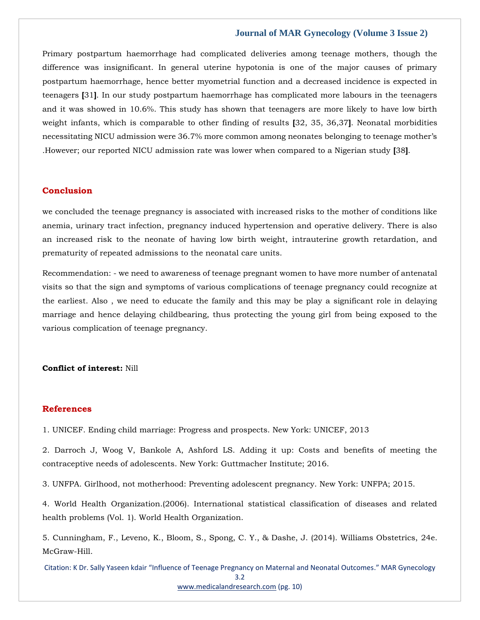Primary postpartum haemorrhage had complicated deliveries among teenage mothers, though the difference was insignificant. In general uterine hypotonia is one of the major causes of primary postpartum haemorrhage, hence better myometrial function and a decreased incidence is expected in teenagers **[**31**]**. In our study postpartum haemorrhage has complicated more labours in the teenagers and it was showed in 10.6%. This study has shown that teenagers are more likely to have low birth weight infants, which is comparable to other finding of results **[**32, 35, 36,37**]**. Neonatal morbidities necessitating NICU admission were 36.7% more common among neonates belonging to teenage mother's .However; our reported NICU admission rate was lower when compared to a Nigerian study **[**38**]**.

#### **Conclusion**

we concluded the teenage pregnancy is associated with increased risks to the mother of conditions like anemia, urinary tract infection, pregnancy induced hypertension and operative delivery. There is also an increased risk to the neonate of having low birth weight, intrauterine growth retardation, and prematurity of repeated admissions to the neonatal care units.

Recommendation: - we need to awareness of teenage pregnant women to have more number of antenatal visits so that the sign and symptoms of various complications of teenage pregnancy could recognize at the earliest. Also , we need to educate the family and this may be play a significant role in delaying marriage and hence delaying childbearing, thus protecting the young girl from being exposed to the various complication of teenage pregnancy.

#### **Conflict of interest:** Nill

#### **References**

1. UNICEF. Ending child marriage: Progress and prospects. New York: UNICEF, 2013

2. Darroch J, Woog V, Bankole A, Ashford LS. Adding it up: Costs and benefits of meeting the contraceptive needs of adolescents. New York: Guttmacher Institute; 2016.

3. UNFPA. Girlhood, not motherhood: Preventing adolescent pregnancy. New York: UNFPA; 2015.

4. World Health Organization.(2006). International statistical classification of diseases and related health problems (Vol. 1). World Health Organization.

5. Cunningham, F., Leveno, K., Bloom, S., Spong, C. Y., & Dashe, J. (2014). Williams Obstetrics, 24e. McGraw-Hill.

Citation: K Dr. Sally Yaseen kdair "Influence of Teenage Pregnancy on Maternal and Neonatal Outcomes." MAR Gynecology 3.2

[www.medicalandresearch.com](http://www.medicalandresearch.com/) (pg. 10)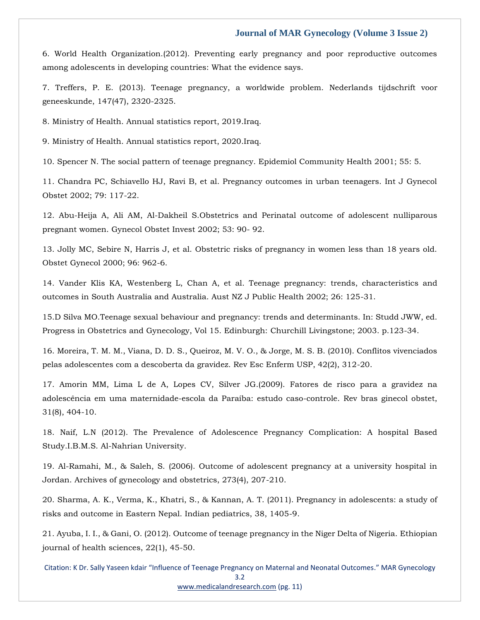6. World Health Organization.(2012). Preventing early pregnancy and poor reproductive outcomes among adolescents in developing countries: What the evidence says.

7. Treffers, P. E. (2013). Teenage pregnancy, a worldwide problem. Nederlands tijdschrift voor geneeskunde, 147(47), 2320-2325.

8. Ministry of Health. Annual statistics report, 2019.Iraq.

9. Ministry of Health. Annual statistics report, 2020.Iraq.

10. Spencer N. The social pattern of teenage pregnancy. Epidemiol Community Health 2001; 55: 5.

11. Chandra PC, Schiavello HJ, Ravi B, et al. Pregnancy outcomes in urban teenagers. Int J Gynecol Obstet 2002; 79: 117-22.

12. Abu-Heija A, Ali AM, Al-Dakheil S.Obstetrics and Perinatal outcome of adolescent nulliparous pregnant women. Gynecol Obstet Invest 2002; 53: 90- 92.

13. Jolly MC, Sebire N, Harris J, et al. Obstetric risks of pregnancy in women less than 18 years old. Obstet Gynecol 2000; 96: 962-6.

14. Vander Klis KA, Westenberg L, Chan A, et al. Teenage pregnancy: trends, characteristics and outcomes in South Australia and Australia. Aust NZ J Public Health 2002; 26: 125-31.

15.D Silva MO.Teenage sexual behaviour and pregnancy: trends and determinants. In: Studd JWW, ed. Progress in Obstetrics and Gynecology, Vol 15. Edinburgh: Churchill Livingstone; 2003. p.123-34.

16. Moreira, T. M. M., Viana, D. D. S., Queiroz, M. V. O., & Jorge, M. S. B. (2010). Conflitos vivenciados pelas adolescentes com a descoberta da gravidez. Rev Esc Enferm USP, 42(2), 312-20.

17. Amorin MM, Lima L de A, Lopes CV, Silver JG.(2009). Fatores de risco para a gravidez na adolescência em uma maternidade-escola da Paraíba: estudo caso-controle. Rev bras ginecol obstet, 31(8), 404-10.

18. Naif, L.N (2012). The Prevalence of Adolescence Pregnancy Complication: A hospital Based Study.I.B.M.S. Al-Nahrian University.

19. Al-Ramahi, M., & Saleh, S. (2006). Outcome of adolescent pregnancy at a university hospital in Jordan. Archives of gynecology and obstetrics, 273(4), 207-210.

20. Sharma, A. K., Verma, K., Khatri, S., & Kannan, A. T. (2011). Pregnancy in adolescents: a study of risks and outcome in Eastern Nepal. Indian pediatrics, 38, 1405-9.

21. Ayuba, I. I., & Gani, O. (2012). Outcome of teenage pregnancy in the Niger Delta of Nigeria. Ethiopian journal of health sciences, 22(1), 45-50.

Citation: K Dr. Sally Yaseen kdair "Influence of Teenage Pregnancy on Maternal and Neonatal Outcomes." MAR Gynecology 3.2 [www.medicalandresearch.com](http://www.medicalandresearch.com/) (pg. 11)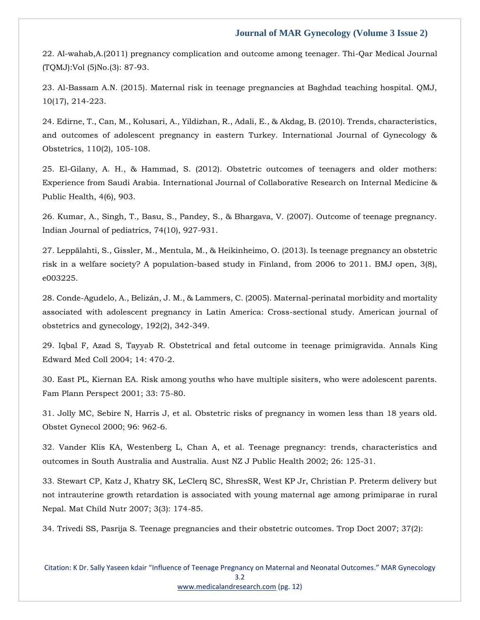22. Al-wahab,A.(2011) pregnancy complication and outcome among teenager. Thi-Qar Medical Journal (TQMJ):Vol (5)No.(3): 87-93.

23. Al-Bassam A.N. (2015). Maternal risk in teenage pregnancies at Baghdad teaching hospital. QMJ, 10(17), 214-223.

24. Edirne, T., Can, M., Kolusari, A., Yildizhan, R., Adali, E., & Akdag, B. (2010). Trends, characteristics, and outcomes of adolescent pregnancy in eastern Turkey. International Journal of Gynecology & Obstetrics, 110(2), 105-108.

25. El-Gilany, A. H., & Hammad, S. (2012). Obstetric outcomes of teenagers and older mothers: Experience from Saudi Arabia. International Journal of Collaborative Research on Internal Medicine & Public Health, 4(6), 903.

26. Kumar, A., Singh, T., Basu, S., Pandey, S., & Bhargava, V. (2007). Outcome of teenage pregnancy. Indian Journal of pediatrics, 74(10), 927-931.

27. Leppälahti, S., Gissler, M., Mentula, M., & Heikinheimo, O. (2013). Is teenage pregnancy an obstetric risk in a welfare society? A population-based study in Finland, from 2006 to 2011. BMJ open, 3(8), e003225.

28. Conde-Agudelo, A., Belizán, J. M., & Lammers, C. (2005). Maternal-perinatal morbidity and mortality associated with adolescent pregnancy in Latin America: Cross-sectional study. American journal of obstetrics and gynecology, 192(2), 342-349.

29. Iqbal F, Azad S, Tayyab R. Obstetrical and fetal outcome in teenage primigravida. Annals King Edward Med Coll 2004; 14: 470-2.

30. East PL, Kiernan EA. Risk among youths who have multiple sisiters, who were adolescent parents. Fam Plann Perspect 2001; 33: 75-80.

31. Jolly MC, Sebire N, Harris J, et al. Obstetric risks of pregnancy in women less than 18 years old. Obstet Gynecol 2000; 96: 962-6.

32. Vander Klis KA, Westenberg L, Chan A, et al. Teenage pregnancy: trends, characteristics and outcomes in South Australia and Australia. Aust NZ J Public Health 2002; 26: 125-31.

33. Stewart CP, Katz J, Khatry SK, LeClerq SC, ShresSR, West KP Jr, Christian P. Preterm delivery but not intrauterine growth retardation is associated with young maternal age among primiparae in rural Nepal. Mat Child Nutr 2007; 3(3): 174-85.

34. Trivedi SS, Pasrija S. Teenage pregnancies and their obstetric outcomes. Trop Doct 2007; 37(2):

#### Citation: K Dr. Sally Yaseen kdair "Influence of Teenage Pregnancy on Maternal and Neonatal Outcomes." MAR Gynecology 3.2 [www.medicalandresearch.com](http://www.medicalandresearch.com/) (pg. 12)